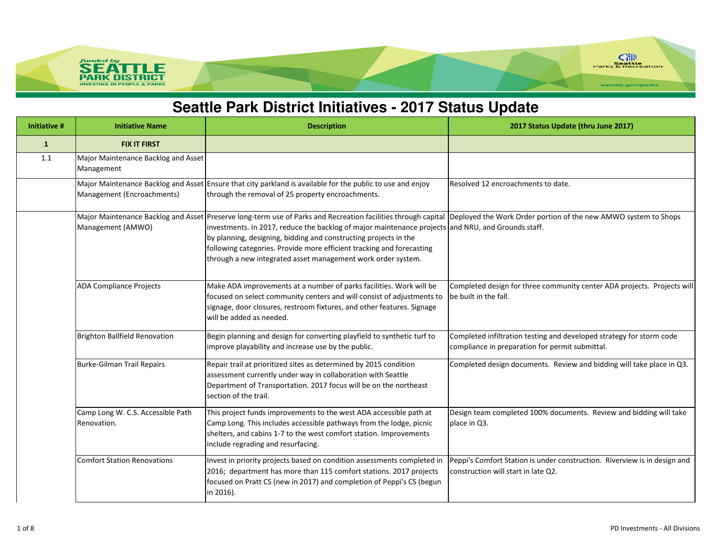

### **Seattle Park District Initiatives - 2017 Status Update**

| Initiative # | <b>Initiative Name</b>                                   | <b>Description</b>                                                                                                                                                                                                                                                                                                                                                                                                                                           | 2017 Status Update (thru June 2017)                                                                                     |
|--------------|----------------------------------------------------------|--------------------------------------------------------------------------------------------------------------------------------------------------------------------------------------------------------------------------------------------------------------------------------------------------------------------------------------------------------------------------------------------------------------------------------------------------------------|-------------------------------------------------------------------------------------------------------------------------|
| $\mathbf{1}$ | <b>FIX IT FIRST</b>                                      |                                                                                                                                                                                                                                                                                                                                                                                                                                                              |                                                                                                                         |
| 1.1          | Major Maintenance Backlog and Asset<br>Management        |                                                                                                                                                                                                                                                                                                                                                                                                                                                              |                                                                                                                         |
|              | Management (Encroachments)                               | Major Maintenance Backlog and Asset Ensure that city parkland is available for the public to use and enjoy<br>through the removal of 25 property encroachments.                                                                                                                                                                                                                                                                                              | Resolved 12 encroachments to date.                                                                                      |
|              | Major Maintenance Backlog and Asset<br>Management (AMWO) | Preserve long-term use of Parks and Recreation facilities through capital Deployed the Work Order portion of the new AMWO system to Shops<br>investments. In 2017, reduce the backlog of major maintenance projects and NRU, and Grounds staff.<br>by planning, designing, bidding and constructing projects in the<br>following categories. Provide more efficient tracking and forecasting<br>through a new integrated asset management work order system. |                                                                                                                         |
|              | <b>ADA Compliance Projects</b>                           | Make ADA improvements at a number of parks facilities. Work will be<br>focused on select community centers and will consist of adjustments to<br>signage, door closures, restroom fixtures, and other features. Signage<br>will be added as needed.                                                                                                                                                                                                          | Completed design for three community center ADA projects. Projects will<br>be built in the fall.                        |
|              | <b>Brighton Ballfield Renovation</b>                     | Begin planning and design for converting playfield to synthetic turf to<br>improve playability and increase use by the public.                                                                                                                                                                                                                                                                                                                               | Completed infiltration testing and developed strategy for storm code<br>compliance in preparation for permit submittal. |
|              | Burke-Gilman Trail Repairs                               | Repair trail at prioritized sites as determined by 2015 condition<br>assessment currently under way in collaboration with Seattle<br>Department of Transportation. 2017 focus will be on the northeast<br>section of the trail.                                                                                                                                                                                                                              | Completed design documents. Review and bidding will take place in Q3.                                                   |
|              | Camp Long W. C.S. Accessible Path<br>Renovation.         | This project funds improvements to the west ADA accessible path at<br>Camp Long. This includes accessible pathways from the lodge, picnic<br>shelters, and cabins 1-7 to the west comfort station. Improvements<br>include regrading and resurfacing.                                                                                                                                                                                                        | Design team completed 100% documents. Review and bidding will take<br>place in Q3.                                      |
|              | <b>Comfort Station Renovations</b>                       | Invest in priority projects based on condition assessments completed in<br>2016; department has more than 115 comfort stations. 2017 projects<br>focused on Pratt CS (new in 2017) and completion of Peppi's CS (begun<br>in 2016).                                                                                                                                                                                                                          | Peppi's Comfort Station is under construction. Riverview is in design and<br>construction will start in late Q2.        |

SEA<sup></sup>

**PARK INVESTING** 

LE **ISTRICT**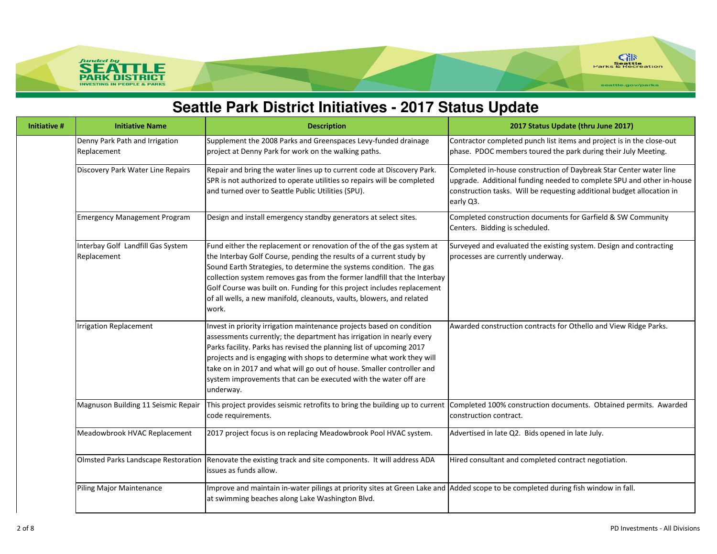

#### **Seattle Park District Initiatives - 2017 Status Update**

| <b>Initiative #</b> | <b>Initiative Name</b>                           | <b>Description</b>                                                                                                                                                                                                                                                                                                                                                                                                                                           | 2017 Status Update (thru June 2017)                                                                                                                                                                                                |
|---------------------|--------------------------------------------------|--------------------------------------------------------------------------------------------------------------------------------------------------------------------------------------------------------------------------------------------------------------------------------------------------------------------------------------------------------------------------------------------------------------------------------------------------------------|------------------------------------------------------------------------------------------------------------------------------------------------------------------------------------------------------------------------------------|
|                     | Denny Park Path and Irrigation<br>Replacement    | Supplement the 2008 Parks and Greenspaces Levy-funded drainage<br>project at Denny Park for work on the walking paths.                                                                                                                                                                                                                                                                                                                                       | Contractor completed punch list items and project is in the close-out<br>phase. PDOC members toured the park during their July Meeting.                                                                                            |
|                     | Discovery Park Water Line Repairs                | Repair and bring the water lines up to current code at Discovery Park.<br>SPR is not authorized to operate utilities so repairs will be completed<br>and turned over to Seattle Public Utilities (SPU).                                                                                                                                                                                                                                                      | Completed in-house construction of Daybreak Star Center water line<br>upgrade. Additional funding needed to complete SPU and other in-house<br>construction tasks. Will be requesting additional budget allocation in<br>early Q3. |
|                     | Emergency Management Program                     | Design and install emergency standby generators at select sites.                                                                                                                                                                                                                                                                                                                                                                                             | Completed construction documents for Garfield & SW Community<br>Centers. Bidding is scheduled.                                                                                                                                     |
|                     | Interbay Golf Landfill Gas System<br>Replacement | Fund either the replacement or renovation of the of the gas system at<br>the Interbay Golf Course, pending the results of a current study by<br>Sound Earth Strategies, to determine the systems condition. The gas<br>collection system removes gas from the former landfill that the Interbay<br>Golf Course was built on. Funding for this project includes replacement<br>of all wells, a new manifold, cleanouts, vaults, blowers, and related<br>work. | Surveyed and evaluated the existing system. Design and contracting<br>processes are currently underway.                                                                                                                            |
|                     | <b>Irrigation Replacement</b>                    | Invest in priority irrigation maintenance projects based on condition<br>assessments currently; the department has irrigation in nearly every<br>Parks facility. Parks has revised the planning list of upcoming 2017<br>projects and is engaging with shops to determine what work they will<br>take on in 2017 and what will go out of house. Smaller controller and<br>system improvements that can be executed with the water off are<br>underway.       | Awarded construction contracts for Othello and View Ridge Parks.                                                                                                                                                                   |
|                     | Magnuson Building 11 Seismic Repair              | This project provides seismic retrofits to bring the building up to current<br>code requirements.                                                                                                                                                                                                                                                                                                                                                            | Completed 100% construction documents. Obtained permits. Awarded<br>construction contract.                                                                                                                                         |
|                     | Meadowbrook HVAC Replacement                     | 2017 project focus is on replacing Meadowbrook Pool HVAC system.                                                                                                                                                                                                                                                                                                                                                                                             | Advertised in late Q2. Bids opened in late July.                                                                                                                                                                                   |
|                     | Olmsted Parks Landscape Restoration              | Renovate the existing track and site components. It will address ADA<br>issues as funds allow.                                                                                                                                                                                                                                                                                                                                                               | Hired consultant and completed contract negotiation.                                                                                                                                                                               |
|                     | Piling Major Maintenance                         | Improve and maintain in-water pilings at priority sites at Green Lake and Added scope to be completed during fish window in fall.<br>at swimming beaches along Lake Washington Blvd.                                                                                                                                                                                                                                                                         |                                                                                                                                                                                                                                    |

SEA<sup></sup>

**INVESTING** 

**PARK DISTRICT** 

IN PEOPLE & PARKS

LE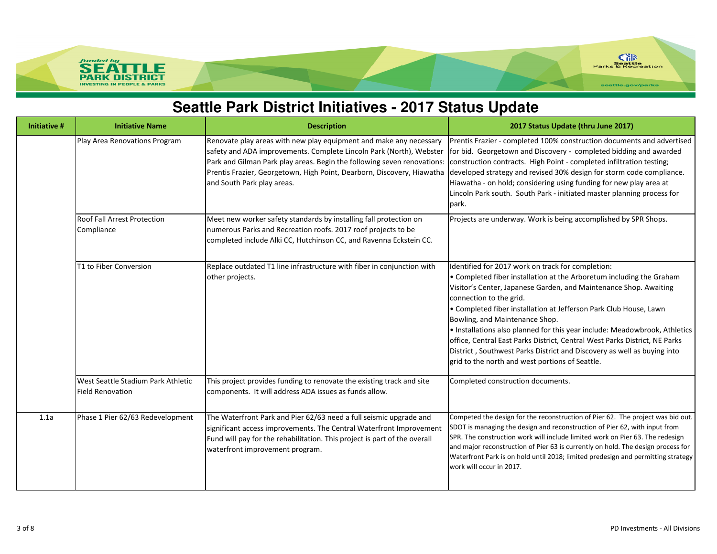

## **Seattle Park District Initiatives - 2017 Status Update**

| <b>Initiative #</b> | <b>Initiative Name</b>                                        | <b>Description</b>                                                                                                                                                                                                                                                                                                           | 2017 Status Update (thru June 2017)                                                                                                                                                                                                                                                                                                                                                                                                                                                                                                                                                                                        |
|---------------------|---------------------------------------------------------------|------------------------------------------------------------------------------------------------------------------------------------------------------------------------------------------------------------------------------------------------------------------------------------------------------------------------------|----------------------------------------------------------------------------------------------------------------------------------------------------------------------------------------------------------------------------------------------------------------------------------------------------------------------------------------------------------------------------------------------------------------------------------------------------------------------------------------------------------------------------------------------------------------------------------------------------------------------------|
|                     | Play Area Renovations Program                                 | Renovate play areas with new play equipment and make any necessary<br>safety and ADA improvements. Complete Lincoln Park (North), Webster<br>Park and Gilman Park play areas. Begin the following seven renovations:<br>Prentis Frazier, Georgetown, High Point, Dearborn, Discovery, Hiawatha<br>and South Park play areas. | Prentis Frazier - completed 100% construction documents and advertised<br>for bid. Georgetown and Discovery - completed bidding and awarded<br>construction contracts. High Point - completed infiltration testing;<br>developed strategy and revised 30% design for storm code compliance.<br>Hiawatha - on hold; considering using funding for new play area at<br>Lincoln Park south. South Park - initiated master planning process for<br>park.                                                                                                                                                                       |
|                     | Roof Fall Arrest Protection<br>Compliance                     | Meet new worker safety standards by installing fall protection on<br>numerous Parks and Recreation roofs. 2017 roof projects to be<br>completed include Alki CC, Hutchinson CC, and Ravenna Eckstein CC.                                                                                                                     | Projects are underway. Work is being accomplished by SPR Shops.                                                                                                                                                                                                                                                                                                                                                                                                                                                                                                                                                            |
|                     | T1 to Fiber Conversion                                        | Replace outdated T1 line infrastructure with fiber in conjunction with<br>other projects.                                                                                                                                                                                                                                    | Identified for 2017 work on track for completion:<br>• Completed fiber installation at the Arboretum including the Graham<br>Visitor's Center, Japanese Garden, and Maintenance Shop. Awaiting<br>connection to the grid.<br>• Completed fiber installation at Jefferson Park Club House, Lawn<br>Bowling, and Maintenance Shop.<br>. Installations also planned for this year include: Meadowbrook, Athletics<br>office, Central East Parks District, Central West Parks District, NE Parks<br>District, Southwest Parks District and Discovery as well as buying into<br>grid to the north and west portions of Seattle. |
|                     | West Seattle Stadium Park Athletic<br><b>Field Renovation</b> | This project provides funding to renovate the existing track and site<br>components. It will address ADA issues as funds allow.                                                                                                                                                                                              | Completed construction documents.                                                                                                                                                                                                                                                                                                                                                                                                                                                                                                                                                                                          |
| 1.1a                | Phase 1 Pier 62/63 Redevelopment                              | The Waterfront Park and Pier 62/63 need a full seismic upgrade and<br>significant access improvements. The Central Waterfront Improvement<br>Fund will pay for the rehabilitation. This project is part of the overall<br>waterfront improvement program.                                                                    | Competed the design for the reconstruction of Pier 62. The project was bid out.<br>SDOT is managing the design and reconstruction of Pier 62, with input from<br>SPR. The construction work will include limited work on Pier 63. The redesign<br>and major reconstruction of Pier 63 is currently on hold. The design process for<br>Waterfront Park is on hold until 2018; limited predesign and permitting strategy<br>work will occur in 2017.                                                                                                                                                                         |

funded by<br>**SEA** 

**INVESTING** 

**SEATTLE**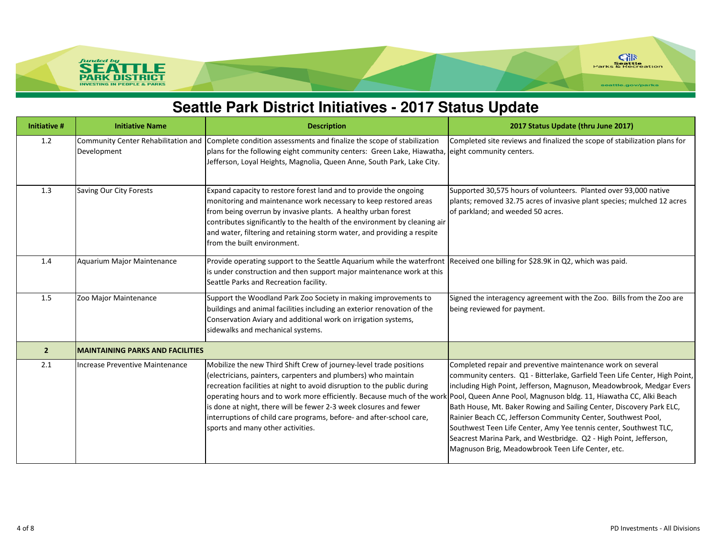

# **Seattle Park District Initiatives - 2017 Status Update**

| <b>Initiative #</b> | <b>Initiative Name</b>                             | <b>Description</b>                                                                                                                                                                                                                                                                                                                                                                                                                                                          | 2017 Status Update (thru June 2017)                                                                                                                                                                                                                                                                                                                                                                                                                                                                                                                                                                                            |
|---------------------|----------------------------------------------------|-----------------------------------------------------------------------------------------------------------------------------------------------------------------------------------------------------------------------------------------------------------------------------------------------------------------------------------------------------------------------------------------------------------------------------------------------------------------------------|--------------------------------------------------------------------------------------------------------------------------------------------------------------------------------------------------------------------------------------------------------------------------------------------------------------------------------------------------------------------------------------------------------------------------------------------------------------------------------------------------------------------------------------------------------------------------------------------------------------------------------|
| 1.2                 | Community Center Rehabilitation and<br>Development | Complete condition assessments and finalize the scope of stabilization<br>plans for the following eight community centers: Green Lake, Hiawatha, eight community centers.<br>Jefferson, Loyal Heights, Magnolia, Queen Anne, South Park, Lake City.                                                                                                                                                                                                                         | Completed site reviews and finalized the scope of stabilization plans for                                                                                                                                                                                                                                                                                                                                                                                                                                                                                                                                                      |
| 1.3                 | Saving Our City Forests                            | Expand capacity to restore forest land and to provide the ongoing<br>monitoring and maintenance work necessary to keep restored areas<br>from being overrun by invasive plants. A healthy urban forest<br>contributes significantly to the health of the environment by cleaning air<br>and water, filtering and retaining storm water, and providing a respite<br>from the built environment.                                                                              | Supported 30,575 hours of volunteers. Planted over 93,000 native<br>plants; removed 32.75 acres of invasive plant species; mulched 12 acres<br>of parkland; and weeded 50 acres.                                                                                                                                                                                                                                                                                                                                                                                                                                               |
| 1.4                 | Aquarium Major Maintenance                         | Provide operating support to the Seattle Aquarium while the waterfront Received one billing for \$28.9K in Q2, which was paid.<br>is under construction and then support major maintenance work at this<br>Seattle Parks and Recreation facility.                                                                                                                                                                                                                           |                                                                                                                                                                                                                                                                                                                                                                                                                                                                                                                                                                                                                                |
| 1.5                 | Zoo Major Maintenance                              | Support the Woodland Park Zoo Society in making improvements to<br>buildings and animal facilities including an exterior renovation of the<br>Conservation Aviary and additional work on irrigation systems,<br>sidewalks and mechanical systems.                                                                                                                                                                                                                           | Signed the interagency agreement with the Zoo. Bills from the Zoo are<br>being reviewed for payment.                                                                                                                                                                                                                                                                                                                                                                                                                                                                                                                           |
| $\overline{2}$      | <b>MAINTAINING PARKS AND FACILITIES</b>            |                                                                                                                                                                                                                                                                                                                                                                                                                                                                             |                                                                                                                                                                                                                                                                                                                                                                                                                                                                                                                                                                                                                                |
| 2.1                 | Increase Preventive Maintenance                    | Mobilize the new Third Shift Crew of journey-level trade positions<br>(electricians, painters, carpenters and plumbers) who maintain<br>recreation facilities at night to avoid disruption to the public during<br>operating hours and to work more efficiently. Because much of the work<br>is done at night, there will be fewer 2-3 week closures and fewer<br>interruptions of child care programs, before- and after-school care,<br>sports and many other activities. | Completed repair and preventive maintenance work on several<br>community centers. Q1 - Bitterlake, Garfield Teen Life Center, High Point,<br>including High Point, Jefferson, Magnuson, Meadowbrook, Medgar Evers<br>Pool, Queen Anne Pool, Magnuson bldg. 11, Hiawatha CC, Alki Beach<br>Bath House, Mt. Baker Rowing and Sailing Center, Discovery Park ELC,<br>Rainier Beach CC, Jefferson Community Center, Southwest Pool,<br>Southwest Teen Life Center, Amy Yee tennis center, Southwest TLC,<br>Seacrest Marina Park, and Westbridge. Q2 - High Point, Jefferson,<br>Magnuson Brig, Meadowbrook Teen Life Center, etc. |

funded by<br>**SEA** 

**SEATTLE** 

**INVESTING IN PEOPLE & PARKS**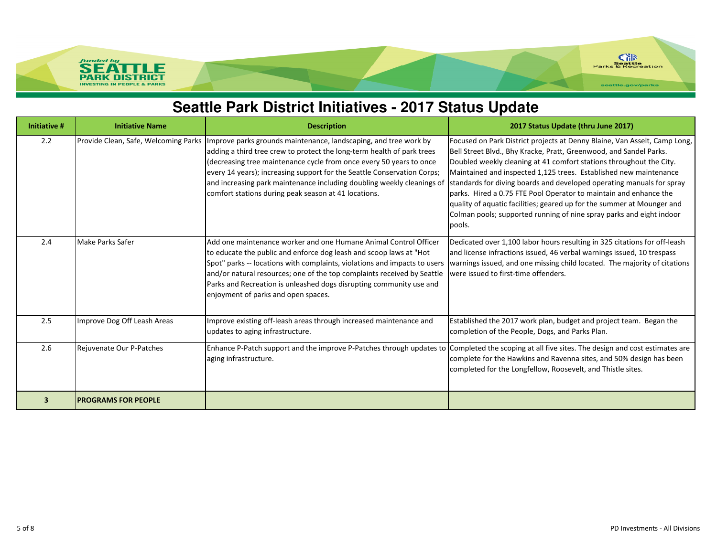

# **Seattle Park District Initiatives - 2017 Status Update**

| <b>Initiative #</b> | <b>Initiative Name</b>               | <b>Description</b>                                                                                                                                                                                                                                                                                                                                                                                                            | 2017 Status Update (thru June 2017)                                                                                                                                                                                                                                                                                                                                                                                                                                                                                                                                                                   |
|---------------------|--------------------------------------|-------------------------------------------------------------------------------------------------------------------------------------------------------------------------------------------------------------------------------------------------------------------------------------------------------------------------------------------------------------------------------------------------------------------------------|-------------------------------------------------------------------------------------------------------------------------------------------------------------------------------------------------------------------------------------------------------------------------------------------------------------------------------------------------------------------------------------------------------------------------------------------------------------------------------------------------------------------------------------------------------------------------------------------------------|
| 2.2                 | Provide Clean, Safe, Welcoming Parks | Improve parks grounds maintenance, landscaping, and tree work by<br>adding a third tree crew to protect the long-term health of park trees<br>decreasing tree maintenance cycle from once every 50 years to once<br>every 14 years); increasing support for the Seattle Conservation Corps;<br>and increasing park maintenance including doubling weekly cleanings of<br>comfort stations during peak season at 41 locations. | Focused on Park District projects at Denny Blaine, Van Asselt, Camp Long,<br>Bell Street Blvd., Bhy Kracke, Pratt, Greenwood, and Sandel Parks.<br>Doubled weekly cleaning at 41 comfort stations throughout the City.<br>Maintained and inspected 1,125 trees. Established new maintenance<br>standards for diving boards and developed operating manuals for spray<br>parks. Hired a 0.75 FTE Pool Operator to maintain and enhance the<br>quality of aquatic facilities; geared up for the summer at Mounger and<br>Colman pools; supported running of nine spray parks and eight indoor<br>pools. |
| 2.4                 | Make Parks Safer                     | Add one maintenance worker and one Humane Animal Control Officer<br>to educate the public and enforce dog leash and scoop laws at "Hot<br>Spot" parks -- locations with complaints, violations and impacts to users<br>and/or natural resources; one of the top complaints received by Seattle<br>Parks and Recreation is unleashed dogs disrupting community use and<br>enjoyment of parks and open spaces.                  | Dedicated over 1,100 labor hours resulting in 325 citations for off-leash<br>and license infractions issued, 46 verbal warnings issued, 10 trespass<br>warnings issued, and one missing child located. The majority of citations<br>were issued to first-time offenders.                                                                                                                                                                                                                                                                                                                              |
| 2.5                 | Improve Dog Off Leash Areas          | Improve existing off-leash areas through increased maintenance and<br>updates to aging infrastructure.                                                                                                                                                                                                                                                                                                                        | Established the 2017 work plan, budget and project team. Began the<br>completion of the People, Dogs, and Parks Plan.                                                                                                                                                                                                                                                                                                                                                                                                                                                                                 |
| 2.6                 | Rejuvenate Our P-Patches             | aging infrastructure.                                                                                                                                                                                                                                                                                                                                                                                                         | Enhance P-Patch support and the improve P-Patches through updates to Completed the scoping at all five sites. The design and cost estimates are<br>complete for the Hawkins and Ravenna sites, and 50% design has been<br>completed for the Longfellow, Roosevelt, and Thistle sites.                                                                                                                                                                                                                                                                                                                 |
| 3                   | <b>PROGRAMS FOR PEOPLE</b>           |                                                                                                                                                                                                                                                                                                                                                                                                                               |                                                                                                                                                                                                                                                                                                                                                                                                                                                                                                                                                                                                       |

funded by<br>**SEA** 

**SEATTLE INVESTING IN PEOPLE & PARKS**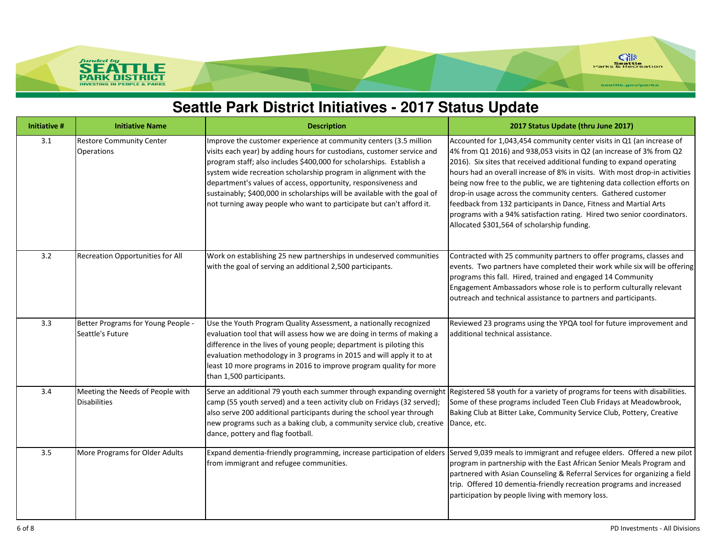

### **Seattle Park District Initiatives - 2017 Status Update**

| <b>Initiative #</b> | <b>Initiative Name</b>                                  | <b>Description</b>                                                                                                                                                                                                                                                                                                                                                                                                                                                                                             | 2017 Status Update (thru June 2017)                                                                                                                                                                                                                                                                                                                                                                                                                                                                                                                                                                                                                 |
|---------------------|---------------------------------------------------------|----------------------------------------------------------------------------------------------------------------------------------------------------------------------------------------------------------------------------------------------------------------------------------------------------------------------------------------------------------------------------------------------------------------------------------------------------------------------------------------------------------------|-----------------------------------------------------------------------------------------------------------------------------------------------------------------------------------------------------------------------------------------------------------------------------------------------------------------------------------------------------------------------------------------------------------------------------------------------------------------------------------------------------------------------------------------------------------------------------------------------------------------------------------------------------|
| 3.1                 | <b>Restore Community Center</b><br>Operations           | Improve the customer experience at community centers (3.5 million<br>visits each year) by adding hours for custodians, customer service and<br>program staff; also includes \$400,000 for scholarships. Establish a<br>system wide recreation scholarship program in alignment with the<br>department's values of access, opportunity, responsiveness and<br>sustainably; \$400,000 in scholarships will be available with the goal of<br>not turning away people who want to participate but can't afford it. | Accounted for 1,043,454 community center visits in Q1 (an increase of<br>4% from Q1 2016) and 938,053 visits in Q2 (an increase of 3% from Q2<br>2016). Six sites that received additional funding to expand operating<br>hours had an overall increase of 8% in visits. With most drop-in activities<br>being now free to the public, we are tightening data collection efforts on<br>drop-in usage across the community centers. Gathered customer<br>feedback from 132 participants in Dance, Fitness and Martial Arts<br>programs with a 94% satisfaction rating. Hired two senior coordinators.<br>Allocated \$301,564 of scholarship funding. |
| 3.2                 | <b>Recreation Opportunities for All</b>                 | Work on establishing 25 new partnerships in undeserved communities<br>with the goal of serving an additional 2,500 participants.                                                                                                                                                                                                                                                                                                                                                                               | Contracted with 25 community partners to offer programs, classes and<br>events. Two partners have completed their work while six will be offering<br>programs this fall. Hired, trained and engaged 14 Community<br>Engagement Ambassadors whose role is to perform culturally relevant<br>outreach and technical assistance to partners and participants.                                                                                                                                                                                                                                                                                          |
| 3.3                 | Better Programs for Young People -<br>Seattle's Future  | Use the Youth Program Quality Assessment, a nationally recognized<br>evaluation tool that will assess how we are doing in terms of making a<br>difference in the lives of young people; department is piloting this<br>evaluation methodology in 3 programs in 2015 and will apply it to at<br>least 10 more programs in 2016 to improve program quality for more<br>than 1,500 participants.                                                                                                                  | Reviewed 23 programs using the YPQA tool for future improvement and<br>additional technical assistance.                                                                                                                                                                                                                                                                                                                                                                                                                                                                                                                                             |
| 3.4                 | Meeting the Needs of People with<br><b>Disabilities</b> | Serve an additional 79 youth each summer through expanding overnight Registered 58 youth for a variety of programs for teens with disabilities.<br>camp (55 youth served) and a teen activity club on Fridays (32 served);<br>also serve 200 additional participants during the school year through<br>new programs such as a baking club, a community service club, creative<br>dance, pottery and flag football.                                                                                             | Some of these programs included Teen Club Fridays at Meadowbrook,<br>Baking Club at Bitter Lake, Community Service Club, Pottery, Creative<br>Dance, etc.                                                                                                                                                                                                                                                                                                                                                                                                                                                                                           |
| 3.5                 | More Programs for Older Adults                          | from immigrant and refugee communities.                                                                                                                                                                                                                                                                                                                                                                                                                                                                        | Expand dementia-friendly programming, increase participation of elders Served 9,039 meals to immigrant and refugee elders. Offered a new pilot<br>program in partnership with the East African Senior Meals Program and<br>partnered with Asian Counseling & Referral Services for organizing a field<br>trip. Offered 10 dementia-friendly recreation programs and increased<br>participation by people living with memory loss.                                                                                                                                                                                                                   |

funded by<br>**SEA** 

**PARK INVESTING** 

**ATTLE**<br>DISTRICT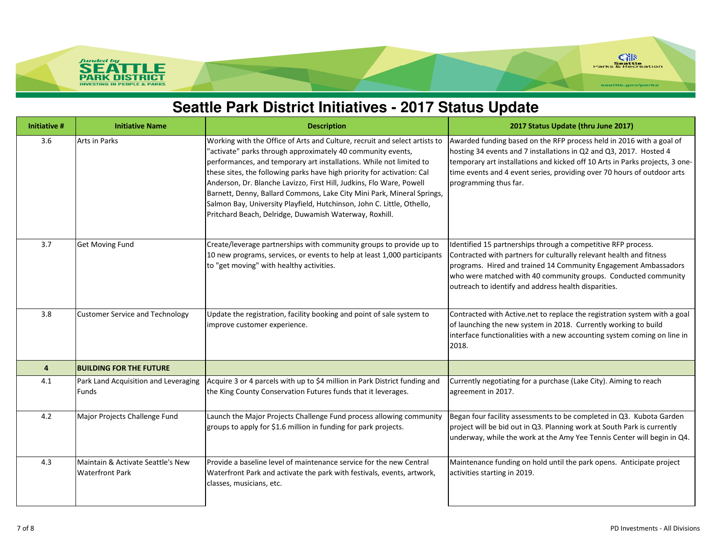

### **Seattle Park District Initiatives - 2017 Status Update**

| <b>Initiative #</b> | <b>Initiative Name</b>                                      | <b>Description</b>                                                                                                                                                                                                                                                                                                                                                                                                                                                                                                                                                                | 2017 Status Update (thru June 2017)                                                                                                                                                                                                                                                                                               |
|---------------------|-------------------------------------------------------------|-----------------------------------------------------------------------------------------------------------------------------------------------------------------------------------------------------------------------------------------------------------------------------------------------------------------------------------------------------------------------------------------------------------------------------------------------------------------------------------------------------------------------------------------------------------------------------------|-----------------------------------------------------------------------------------------------------------------------------------------------------------------------------------------------------------------------------------------------------------------------------------------------------------------------------------|
| 3.6                 | Arts in Parks                                               | Working with the Office of Arts and Culture, recruit and select artists to<br>"activate" parks through approximately 40 community events,<br>performances, and temporary art installations. While not limited to<br>these sites, the following parks have high priority for activation: Cal<br>Anderson, Dr. Blanche Lavizzo, First Hill, Judkins, Flo Ware, Powell<br>Barnett, Denny, Ballard Commons, Lake City Mini Park, Mineral Springs,<br>Salmon Bay, University Playfield, Hutchinson, John C. Little, Othello,<br>Pritchard Beach, Delridge, Duwamish Waterway, Roxhill. | Awarded funding based on the RFP process held in 2016 with a goal of<br>hosting 34 events and 7 installations in Q2 and Q3, 2017. Hosted 4<br>temporary art installations and kicked off 10 Arts in Parks projects, 3 one-<br>time events and 4 event series, providing over 70 hours of outdoor arts<br>programming thus far.    |
| 3.7                 | <b>Get Moving Fund</b>                                      | Create/leverage partnerships with community groups to provide up to<br>10 new programs, services, or events to help at least 1,000 participants<br>to "get moving" with healthy activities.                                                                                                                                                                                                                                                                                                                                                                                       | Identified 15 partnerships through a competitive RFP process.<br>Contracted with partners for culturally relevant health and fitness<br>programs. Hired and trained 14 Community Engagement Ambassadors<br>who were matched with 40 community groups. Conducted community<br>outreach to identify and address health disparities. |
| 3.8                 | <b>Customer Service and Technology</b>                      | Update the registration, facility booking and point of sale system to<br>improve customer experience.                                                                                                                                                                                                                                                                                                                                                                                                                                                                             | Contracted with Active.net to replace the registration system with a goal<br>of launching the new system in 2018. Currently working to build<br>interface functionalities with a new accounting system coming on line in<br>2018.                                                                                                 |
| 4                   | <b>BUILDING FOR THE FUTURE</b>                              |                                                                                                                                                                                                                                                                                                                                                                                                                                                                                                                                                                                   |                                                                                                                                                                                                                                                                                                                                   |
| 4.1                 | Park Land Acquisition and Leveraging<br><b>Funds</b>        | Acquire 3 or 4 parcels with up to \$4 million in Park District funding and<br>the King County Conservation Futures funds that it leverages.                                                                                                                                                                                                                                                                                                                                                                                                                                       | Currently negotiating for a purchase (Lake City). Aiming to reach<br>agreement in 2017.                                                                                                                                                                                                                                           |
| 4.2                 | Major Projects Challenge Fund                               | Launch the Major Projects Challenge Fund process allowing community<br>groups to apply for \$1.6 million in funding for park projects.                                                                                                                                                                                                                                                                                                                                                                                                                                            | Began four facility assessments to be completed in Q3. Kubota Garden<br>project will be bid out in Q3. Planning work at South Park is currently<br>underway, while the work at the Amy Yee Tennis Center will begin in Q4.                                                                                                        |
| 4.3                 | Maintain & Activate Seattle's New<br><b>Waterfront Park</b> | Provide a baseline level of maintenance service for the new Central<br>Waterfront Park and activate the park with festivals, events, artwork,<br>classes, musicians, etc.                                                                                                                                                                                                                                                                                                                                                                                                         | Maintenance funding on hold until the park opens. Anticipate project<br>activities starting in 2019.                                                                                                                                                                                                                              |

SEA<sup></sup>

**PAR INVESTI** 

**TTLE**